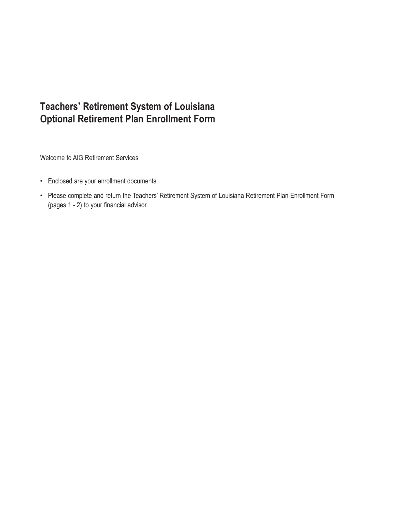Welcome to AIG Retirement Services

- Enclosed are your enrollment documents.
- Please complete and return the Teachers' Retirement System of Louisiana Retirement Plan Enrollment Form (pages 1 - 2) to your financial advisor.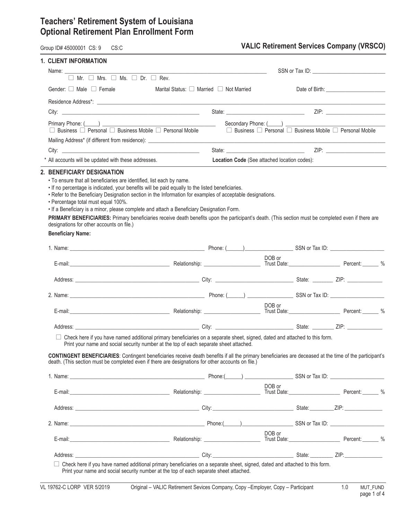Group ID# 45000001 CS: 9 CS:C CS: C CS:C **VALIC Retirement Services Company (VRSCO)** 

| <b>1. CLIENT INFORMATION</b>                                                                                                                                                                                                                                                                                                                                                                                                                                                                                                                                                                                                                                |                                                                  |                                              |                                                                               |  |
|-------------------------------------------------------------------------------------------------------------------------------------------------------------------------------------------------------------------------------------------------------------------------------------------------------------------------------------------------------------------------------------------------------------------------------------------------------------------------------------------------------------------------------------------------------------------------------------------------------------------------------------------------------------|------------------------------------------------------------------|----------------------------------------------|-------------------------------------------------------------------------------|--|
| $\Box$ Mr. $\Box$ Mrs. $\Box$ Ms. $\Box$ Dr. $\Box$ Rev.                                                                                                                                                                                                                                                                                                                                                                                                                                                                                                                                                                                                    | <u> 1989 - Johann John Stein, mars an deus Frankryk († 1958)</u> |                                              |                                                                               |  |
| Gender: $\Box$ Male $\Box$ Female                                                                                                                                                                                                                                                                                                                                                                                                                                                                                                                                                                                                                           | Marital Status: $\Box$ Married $\Box$ Not Married                |                                              |                                                                               |  |
|                                                                                                                                                                                                                                                                                                                                                                                                                                                                                                                                                                                                                                                             |                                                                  |                                              |                                                                               |  |
|                                                                                                                                                                                                                                                                                                                                                                                                                                                                                                                                                                                                                                                             |                                                                  |                                              |                                                                               |  |
| Primary Phone: (Comparison and Contract Comparison and Comparison and Comparison and Comparison and Comparison<br>$\Box$ Business $\Box$ Personal $\Box$ Business Mobile $\Box$ Personal Mobile                                                                                                                                                                                                                                                                                                                                                                                                                                                             |                                                                  |                                              | $\Box$ Business $\Box$ Personal $\Box$ Business Mobile $\Box$ Personal Mobile |  |
| Mailing Address* (if different from residence): _________________________________                                                                                                                                                                                                                                                                                                                                                                                                                                                                                                                                                                           |                                                                  |                                              |                                                                               |  |
|                                                                                                                                                                                                                                                                                                                                                                                                                                                                                                                                                                                                                                                             |                                                                  |                                              |                                                                               |  |
| * All accounts will be updated with these addresses.                                                                                                                                                                                                                                                                                                                                                                                                                                                                                                                                                                                                        |                                                                  | Location Code (See attached location codes): |                                                                               |  |
| · To ensure that all beneficiaries are identified, list each by name.<br>• If no percentage is indicated, your benefits will be paid equally to the listed beneficiaries.<br>• Refer to the Beneficiary Designation section in the Information for examples of acceptable designations.<br>• Percentage total must equal 100%.<br>. If a Beneficiary is a minor, please complete and attach a Beneficiary Designation Form.<br>PRIMARY BENEFICIARIES: Primary beneficiaries receive death benefits upon the participant's death. (This section must be completed even if there are<br>designations for other accounts on file.)<br><b>Beneficiary Name:</b> |                                                                  |                                              |                                                                               |  |
|                                                                                                                                                                                                                                                                                                                                                                                                                                                                                                                                                                                                                                                             |                                                                  |                                              |                                                                               |  |
|                                                                                                                                                                                                                                                                                                                                                                                                                                                                                                                                                                                                                                                             |                                                                  |                                              |                                                                               |  |
|                                                                                                                                                                                                                                                                                                                                                                                                                                                                                                                                                                                                                                                             |                                                                  |                                              |                                                                               |  |
| E-mail: Percent: Percent: 2010 Melationship: 2020 Melationship: Trust Date: Percent: 2020 Melationship: 2020 Melationship: 2020 Melationship: 2020 Melationship: 2020 Melationship: 2020 Melationship: 2020 Melationship: 2020                                                                                                                                                                                                                                                                                                                                                                                                                              |                                                                  | DOB or                                       |                                                                               |  |
|                                                                                                                                                                                                                                                                                                                                                                                                                                                                                                                                                                                                                                                             |                                                                  |                                              |                                                                               |  |
|                                                                                                                                                                                                                                                                                                                                                                                                                                                                                                                                                                                                                                                             |                                                                  |                                              |                                                                               |  |
| E-mail: Percent: Percent: 2010 Melationship: 2020 Melationship: Trust Date: Percent: 2020 Melationship: 2020 Melationship: 2020 Melationship: 2020 Melationship: 2020 Melationship: 2020 Melationship: 2020 Melationship: 2020                                                                                                                                                                                                                                                                                                                                                                                                                              |                                                                  | DOB or                                       |                                                                               |  |
|                                                                                                                                                                                                                                                                                                                                                                                                                                                                                                                                                                                                                                                             |                                                                  |                                              |                                                                               |  |
| □ Check here if you have named additional primary beneficiaries on a separate sheet, signed, dated and attached to this form.<br>Print your name and social security number at the top of each separate sheet attached.<br><b>CONTINGENT BENEFICIARIES:</b> Contingent beneficiaries receive death benefits if all the primary beneficiaries are deceased at the time of the participant's<br>death. (This section must be completed even if there are designations for other accounts on file.)                                                                                                                                                            |                                                                  |                                              |                                                                               |  |
|                                                                                                                                                                                                                                                                                                                                                                                                                                                                                                                                                                                                                                                             |                                                                  |                                              |                                                                               |  |
| E-mail: Percent: Percent: 2016                                                                                                                                                                                                                                                                                                                                                                                                                                                                                                                                                                                                                              |                                                                  | DOB or                                       |                                                                               |  |
|                                                                                                                                                                                                                                                                                                                                                                                                                                                                                                                                                                                                                                                             |                                                                  |                                              |                                                                               |  |
|                                                                                                                                                                                                                                                                                                                                                                                                                                                                                                                                                                                                                                                             |                                                                  |                                              |                                                                               |  |
| E-mail: Percent: 2012 Relationship: Trust Date: Trust Date: Percent: 2014                                                                                                                                                                                                                                                                                                                                                                                                                                                                                                                                                                                   |                                                                  | DOB or                                       |                                                                               |  |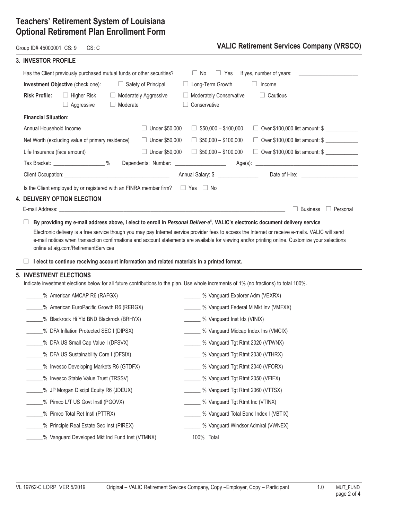### **3. INVESTOR PROFILE**

 $\overline{\phantom{0}}$ 

### Group ID# 45000001 CS: 9 CS: C **VALIC Retirement Services Company (VRSCO)**

| J. INVEJIUN FNUFILE                                                                                                                  |                                                                                                                                        |
|--------------------------------------------------------------------------------------------------------------------------------------|----------------------------------------------------------------------------------------------------------------------------------------|
| Has the Client previously purchased mutual funds or other securities?                                                                | If yes, number of years:<br>$\Box$ No<br>$\Box$ Yes                                                                                    |
| Investment Objective (check one):<br>$\Box$ Safety of Principal                                                                      | □ Long-Term Growth<br>$\Box$<br>Income                                                                                                 |
| <b>Risk Profile:</b><br>$\Box$ Higher Risk<br>Moderately Aggressive<br>$\Box$ Aggressive<br>$\Box$ Moderate                          | Moderately Conservative<br>$\Box$ Cautious<br>□ Conservative                                                                           |
| <b>Financial Situation:</b>                                                                                                          |                                                                                                                                        |
| $\Box$ Under \$50,000<br>Annual Household Income                                                                                     | $\Box$ \$50,000 - \$100,000<br>□ Over \$100,000 list amount: \$                                                                        |
| □ Under \$50,000<br>Net Worth (excluding value of primary residence)                                                                 | $\Box$ \$50,000 - \$100,000<br>$\Box$ Over \$100,000 list amount: \$                                                                   |
| □ Under \$50,000<br>Life Insurance (face amount)                                                                                     | $\Box$ \$50,000 - \$100,000<br>□ Over \$100,000 list amount: \$                                                                        |
|                                                                                                                                      |                                                                                                                                        |
|                                                                                                                                      |                                                                                                                                        |
| Is the Client employed by or registered with an FINRA member firm? $\square$ Yes $\square$ No                                        |                                                                                                                                        |
| 4. DELIVERY OPTION ELECTION                                                                                                          |                                                                                                                                        |
|                                                                                                                                      | $\Box$ Business<br>$\Box$ Personal                                                                                                     |
| online at aig.com/RetirementServices<br>I elect to continue receiving account information and related materials in a printed format. |                                                                                                                                        |
| 5. INVESTMENT ELECTIONS                                                                                                              | Indicate investment elections below for all future contributions to the plan. Use whole increments of 1% (no fractions) to total 100%. |
| ______% American AMCAP R6 (RAFGX)                                                                                                    | % Vanguard Explorer Adm (VEXRX)                                                                                                        |
| ______% American EuroPacific Growth R6 (RERGX)                                                                                       | _______ % Vanguard Federal M Mkt Inv (VMFXX)                                                                                           |
| ______% Blackrock Hi Yld BND Blackrock (BRHYX)                                                                                       | _______ % Vanguard Inst Idx (VINIX)                                                                                                    |
| 6 MEA Inflation Protected SEC I (DIPSX)                                                                                              | _______ % Vanguard Midcap Index Ins (VMCIX)                                                                                            |
| ______% DFA US Small Cap Value I (DFSVX)                                                                                             | _______ % Vanguard Tgt Rtmt 2020 (VTWNX)                                                                                               |
| _% DFA US Sustainability Core I (DFSIX)                                                                                              | % Vanguard Tgt Rtmt 2030 (VTHRX)                                                                                                       |
| ___% Invesco Developing Markets R6 (GTDFX)                                                                                           | % Vanguard Tgt Rtmt 2040 (VFORX)                                                                                                       |
| % Invesco Stable Value Trust (TRSSV)                                                                                                 | ____ % Vanguard Tgt Rtmt 2050 (VFIFX)                                                                                                  |
| ___% JP Morgan Discipl Equity R6 (JDEUX)                                                                                             | ____ % Vanguard Tgt Rtmt 2060 (VTTSX)                                                                                                  |
| ___% Pimco L/T US Govt Instl (PGOVX)                                                                                                 | _____ % Vanguard Tgt Rtmt Inc (VTINX)                                                                                                  |
| ___% Pimco Total Ret Instl (PTTRX)                                                                                                   | ____ % Vanguard Total Bond Index I (VBTIX)                                                                                             |
| ___% Principle Real Estate Sec Inst (PIREX)                                                                                          | % Vanguard Windsor Admiral (VWNEX)                                                                                                     |
| % Vanguard Developed Mkt Ind Fund Inst (VTMNX)                                                                                       | 100% Total                                                                                                                             |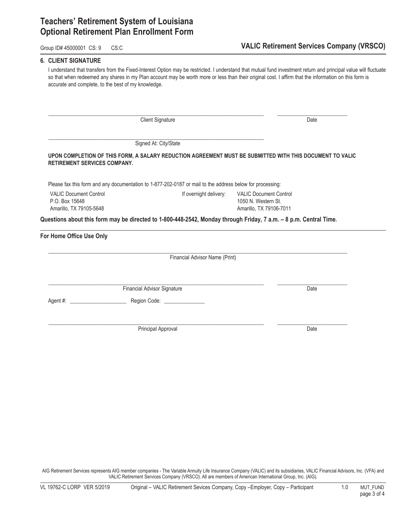**6. CLIENT SIGNATURE**

#### Group ID# 45000001 CS: 9 CS:C CS: C CS: C CS: C CS: C COMPANY (VRSCO)

| accurate and complete, to the best of my knowledge.                        |                                                                                                                   | I understand that transfers from the Fixed-Interest Option may be restricted. I understand that mutual fund investment return and principal value will fluctuate<br>so that when redeemed any shares in my Plan account may be worth more or less than their original cost. I affirm that the information on this form is |
|----------------------------------------------------------------------------|-------------------------------------------------------------------------------------------------------------------|---------------------------------------------------------------------------------------------------------------------------------------------------------------------------------------------------------------------------------------------------------------------------------------------------------------------------|
|                                                                            | <b>Client Signature</b>                                                                                           | Date                                                                                                                                                                                                                                                                                                                      |
|                                                                            | Signed At: City/State                                                                                             |                                                                                                                                                                                                                                                                                                                           |
| RETIREMENT SERVICES COMPANY.                                               |                                                                                                                   | UPON COMPLETION OF THIS FORM, A SALARY REDUCTION AGREEMENT MUST BE SUBMITTED WITH THIS DOCUMENT TO VALIC                                                                                                                                                                                                                  |
|                                                                            | Please fax this form and any documentation to 1-877-202-0187 or mail to the address below for processing:         |                                                                                                                                                                                                                                                                                                                           |
| <b>VALIC Document Control</b><br>P.O. Box 15648<br>Amarillo, TX 79105-5648 | If overnight delivery:                                                                                            | <b>VALIC Document Control</b><br>1050 N. Western St.<br>Amarillo, TX 79106-7011                                                                                                                                                                                                                                           |
|                                                                            | Questions about this form may be directed to 1-800-448-2542, Monday through Friday, 7 a.m. - 8 p.m. Central Time. |                                                                                                                                                                                                                                                                                                                           |
| For Home Office Use Only                                                   |                                                                                                                   |                                                                                                                                                                                                                                                                                                                           |
|                                                                            | Financial Advisor Name (Print)                                                                                    |                                                                                                                                                                                                                                                                                                                           |
|                                                                            | <b>Financial Advisor Signature</b>                                                                                | Date                                                                                                                                                                                                                                                                                                                      |
|                                                                            | Region Code: ________________                                                                                     |                                                                                                                                                                                                                                                                                                                           |
|                                                                            | Principal Approval                                                                                                | Date                                                                                                                                                                                                                                                                                                                      |

AIG Retirement Services represents AIG member companies - The Variable Annuity Life Insurance Company (VALIC) and its subsidiaries, VALIC Financial Advisors, Inc. (VFA) and VALIC Retirement Services Company (VRSCO). All are members of American International Group, Inc. (AIG).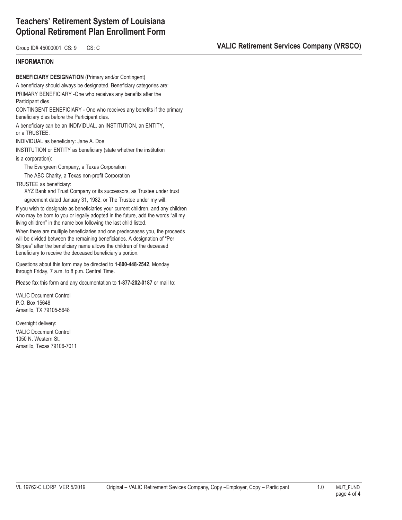#### Group ID# 45000001 CS: 9 CS: C **COMPANY CONTROL COMPANY CONTROL** COMPANY (VRSCO)

#### **INFORMATION**

**BENEFICIARY DESIGNATION** (Primary and/or Contingent) A beneficiary should always be designated. Beneficiary categories are: PRIMARY BENEFICIARY -One who receives any benefits after the Participant dies. CONTINGENT BENEFICIARY - One who receives any benefits if the primary beneficiary dies before the Participant dies. A beneficiary can be an INDIVIDUAL, an INSTITUTION, an ENTITY, or a TRUSTEE. INDIVIDUAL as beneficiary: Jane A. Doe INSTITUTION or ENTITY as beneficiary (state whether the institution is a corporation): The Evergreen Company, a Texas Corporation The ABC Charity, a Texas non-profit Corporation TRUSTEE as beneficiary: XYZ Bank and Trust Company or its successors, as Trustee under trust agreement dated January 31, 1982; or The Trustee under my will.

If you wish to designate as beneficiaries your current children, and any children who may be born to you or legally adopted in the future, add the words "all my living children" in the name box following the last child listed.

When there are multiple beneficiaries and one predeceases you, the proceeds will be divided between the remaining beneficiaries. A designation of "Per Stirpes" after the beneficiary name allows the children of the deceased beneficiary to receive the deceased beneficiary's portion.

Questions about this form may be directed to **1-800-448-2542**, Monday through Friday, 7 a.m. to 8 p.m. Central Time.

Please fax this form and any documentation to **1-877-202-0187** or mail to:

VALIC Document Control P.O. Box 15648 Amarillo, TX 79105-5648

Overnight delivery: VALIC Document Control 1050 N. Western St. Amarillo, Texas 79106-7011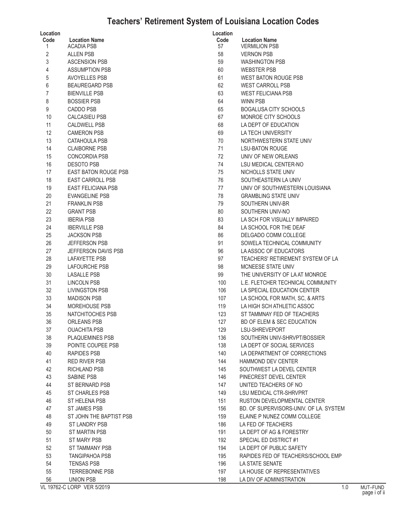# **Teachers' Retirement System of Louisiana Location Codes**

| Location         |                                           | Location   |                                              |
|------------------|-------------------------------------------|------------|----------------------------------------------|
| Code<br>1        | <b>Location Name</b><br><b>ACADIA PSB</b> | Code<br>57 | <b>Location Name</b><br><b>VERMILION PSI</b> |
| $\overline{2}$   | <b>ALLEN PSB</b>                          | 58         | <b>VERNON PSB</b>                            |
| 3                | <b>ASCENSION PSB</b>                      | 59         | <b>WASHINGTON F</b>                          |
| $\sqrt{4}$       | <b>ASSUMPTION PSB</b>                     | 60         | <b>WEBSTER PSB</b>                           |
|                  | <b>AVOYELLES PSB</b>                      | 61         | <b>WEST BATON R</b>                          |
| 5                |                                           |            |                                              |
| $\boldsymbol{6}$ | <b>BEAUREGARD PSB</b>                     | 62         | <b>WEST CARROL</b>                           |
| $\overline{7}$   | <b>BIENVILLE PSB</b>                      | 63         | <b>WEST FELICIAN</b>                         |
| 8                | <b>BOSSIER PSB</b>                        | 64         | <b>WINN PSB</b>                              |
| 9                | <b>CADDO PSB</b>                          | 65         | <b>BOGALUSA CIT</b>                          |
| 10               | <b>CALCASIEU PSB</b>                      | 67         | MONROE CITY                                  |
| 11               | <b>CALDWELL PSB</b>                       | 68         | LA DEPT OF ED                                |
| 12               | <b>CAMERON PSB</b>                        | 69         | <b>LA TECH UNIVE</b>                         |
| 13               | CATAHOULA PSB                             | 70         | <b>NORTHWESTER</b>                           |
| 14               | <b>CLAIBORNE PSB</b>                      | 71         | <b>LSU-BATON RO</b>                          |
| 15               | <b>CONCORDIA PSB</b>                      | 72         | UNIV OF NEW (                                |
| 16               | <b>DESOTO PSB</b>                         | 74         | <b>LSU MEDICAL O</b>                         |
| 17               | <b>EAST BATON ROUGE PSB</b>               | 75         | NICHOLLS STAT                                |
| 18               | <b>EAST CARROLL PSB</b>                   | 76         | SOUTHEASTER                                  |
| 19               | <b>EAST FELICIANA PSB</b>                 | 77         | UNIV OF SOUTH                                |
| 20               | <b>EVANGELINE PSB</b>                     | 78         | <b>GRAMBLING ST</b>                          |
| 21               | <b>FRANKLIN PSB</b>                       | 79         | SOUTHERN UN                                  |
| 22               | <b>GRANT PSB</b>                          | 80         | SOUTHERN UN                                  |
| 23               | <b>IBERIA PSB</b>                         | 83         | LA SCH FOR VI                                |
| 24               | <b>IBERVILLE PSB</b>                      | 84         | LA SCHOOL FO                                 |
| 25               | <b>JACKSON PSB</b>                        | 86         | DELGADO COM                                  |
| 26               | <b>JEFFERSON PSB</b>                      | 91         | <b>SOWELA TECHI</b>                          |
| 27               | JEFFERSON DAVIS PSB                       | 96         | LAASSOC OF E                                 |
| 28               | <b>LAFAYETTE PSB</b>                      | 97         | <b>TEACHERS' RE</b>                          |
| 29               | <b>LAFOURCHE PSB</b>                      | 98         | <b>MCNEESE STAT</b>                          |
| 30               | <b>LASALLE PSB</b>                        | 99         | THE UNIVERSIT                                |
| 31               | <b>LINCOLN PSB</b>                        | 100        | L.E. FLETCHER                                |
| 32               | <b>LIVINGSTON PSB</b>                     | 106        | LA SPECIAL ED                                |
| 33               | <b>MADISON PSB</b>                        | 107        | LA SCHOOL FO                                 |
| 34               | <b>MOREHOUSE PSB</b>                      | 119        | LA HIGH SCH AT                               |
| 35               | NATCHITOCHES PSB                          | 123        | <b>ST TAMMNAY F</b>                          |
| 36               | <b>ORLEANS PSB</b>                        | 127        | <b>BD OF ELEM &amp;</b>                      |
| 37               | <b>OUACHITA PSB</b>                       | 129        | LSU-SHREVEPO                                 |
| 38               | PLAQUEMINES PSB                           | 136        | SOUTHERN UN                                  |
| 39               | POINTE COUPEE PSB                         | 138        | LA DEPT OF SC                                |
| 40               | <b>RAPIDES PSB</b>                        | 140        | <b>LA DEPARTMEN</b>                          |
| 41               | RED RIVER PSB                             | 144        | <b>HAMMOND DEV</b>                           |
| 42               | RICHLAND PSB                              | 145        | SOUTHWEST LA                                 |
| 43               | <b>SABINE PSB</b>                         | 146        | PINECREST DEV                                |
| 44               | ST BERNARD PSB                            | 147        | <b>UNITED TEACHE</b>                         |
| 45               | <b>ST CHARLES PSB</b>                     | 149        | <b>LSU MEDICAL C</b>                         |
| 46               | ST HELENA PSB                             | 151        | <b>RUSTON DEVEL</b>                          |
| 47               | ST JAMES PSB                              | 156        | <b>BD. OF SUPERV</b>                         |
| 48               | ST JOHN THE BAPTIST PSB                   | 159        | <b>ELAINE P NUNE</b>                         |
|                  | <b>ST LANDRY PSB</b>                      |            |                                              |
| 49               | <b>ST MARTIN PSB</b>                      | 186        | LA FED OF TEA                                |
| 50               | ST MARY PSB                               | 191        | LA DEPT OF AG                                |
| 51<br>52         | <b>ST TAMMANY PSB</b>                     | 192        | SPECIAL ED DIS                               |
|                  |                                           | 194        | LA DEPT OF PUI                               |
| 53               | <b>TANGIPAHOA PSB</b>                     | 195        | RAPIDES FED O                                |
| 54               | <b>TENSAS PSB</b>                         | 196        | LA STATE SENA                                |
| 55               | <b>TERREBONNE PSB</b>                     | 197        | LA HOUSE OF R                                |
| 56               | <b>UNION PSB</b>                          | 198        | LA DIV OF ADMI                               |

| ocation    |                                              |
|------------|----------------------------------------------|
| Code<br>57 | <b>Location Name</b><br><b>VERMILION PSB</b> |
| 58         | <b>VERNON PSB</b>                            |
| 59         | <b>WASHINGTON PSB</b>                        |
| 60         | <b>WEBSTER PSB</b>                           |
| 61         | <b>WEST BATON ROUGE PSB</b>                  |
| 62         | <b>WEST CARROLL PSB</b>                      |
| 63         | <b>WEST FELICIANA PSB</b>                    |
| 64         | <b>WINN PSB</b>                              |
| 65         | BOGALUSA CITY SCHOOLS                        |
| 67         | MONROE CITY SCHOOLS                          |
| 68         | LA DEPT OF EDUCATION                         |
| 69         | LA TECH UNIVERSITY                           |
| 70         | NORTHWESTERN STATE UNIV                      |
| 71         | <b>LSU-BATON ROUGE</b>                       |
| 72         | UNIV OF NEW ORLEANS                          |
| 74         | <b>LSU MEDICAL CENTER-NO</b>                 |
| 75         | <b>NICHOLLS STATE UNIV</b>                   |
| 76         | SOUTHEASTERN LA UNIV                         |
| 77         | UNIV OF SOUTHWESTERN LOUISIANA               |
| 78         | <b>GRAMBLING STATE UNIV</b>                  |
| 79         | SOUTHERN UNIV-BR                             |
| 80         | SOUTHERN UNIV-NO                             |
| 83         | LA SCH FOR VISUALLY IMPAIRED                 |
| 84         | LA SCHOOL FOR THE DEAF                       |
| 86         | DELGADO COMM COLLEGE                         |
| 91         | SOWELA TECHNICAL COMMUNITY                   |
| 96         | LA ASSOC OF EDUCATORS                        |
| 97         | TEACHERS' RETIREMENT SYSTEM OF LA            |
| 98         | <b>MCNEESE STATE UNIV</b>                    |
| 99         | THE UNIVERSITY OF LA AT MONROE               |
| 100        | L.E. FLETCHER TECHNICAL COMMUNITY            |
| 106        | LA SPECIAL EDUCATION CENTER                  |
| 107        | LA SCHOOL FOR MATH, SC, & ARTS               |
| 119        | LA HIGH SCH ATHLETIC ASSOC                   |
| 123        | ST TAMMNAY FED OF TEACHERS                   |
| 127        | BD OF ELEM & SEC EDUCATION                   |
| 129        | LSU-SHREVEPORT                               |
| 136        | SOUTHERN UNIV-SHRVPT/BOSSIER                 |
| 138        | LA DEPT OF SOCIAL SERVICES                   |
| 140        | LA DEPARTMENT OF CORRECTIONS                 |
| 144        | <b>HAMMOND DEV CENTER</b>                    |
| 145        | SOUTHWEST LA DEVEL CENTER                    |
| 146        | PINECREST DEVEL CENTER                       |
| 147        | UNITED TEACHERS OF NO                        |
| 149        | <b>LSU MEDICAL CTR-SHRVPRT</b>               |
| 151        | RUSTON DEVELOPMENTAL CENTER                  |
| 156        | BD. OF SUPERVISORS-UNIV. OF LA. SYSTEM       |
| 159        | ELAINE P NUNEZ COMM COLLEGE                  |
| 186        | LA FED OF TEACHERS                           |
| 191        | LA DEPT OF AG & FORESTRY                     |
| 192        | SPECIAL ED DISTRICT #1                       |
| 194        | LA DEPT OF PUBLIC SAFETY                     |
| 195        | RAPIDES FED OF TEACHERS/SCHOOL EMP           |
| 196        | <b>LA STATE SENATE</b>                       |
| 197        | LA HOUSE OF REPRESENTATIVES                  |
| 198        | LA DIV OF ADMINISTRATION                     |

VL 19762-C LORP VER 5/2019 1.0